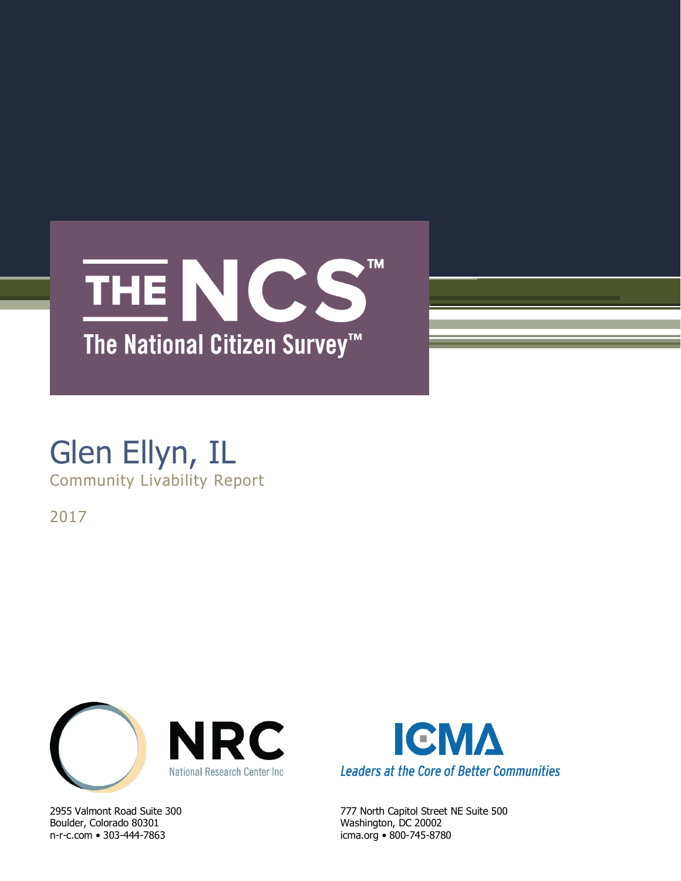

## Glen Ellyn, IL Community Livability Report

2017



Boulder, Colorado 80301 Washington, DC 20002 n-r-c.com • 303-444-7863 icma.org • 800-745-8780



2955 Valmont Road Suite 300 777 North Capitol Street NE Suite 500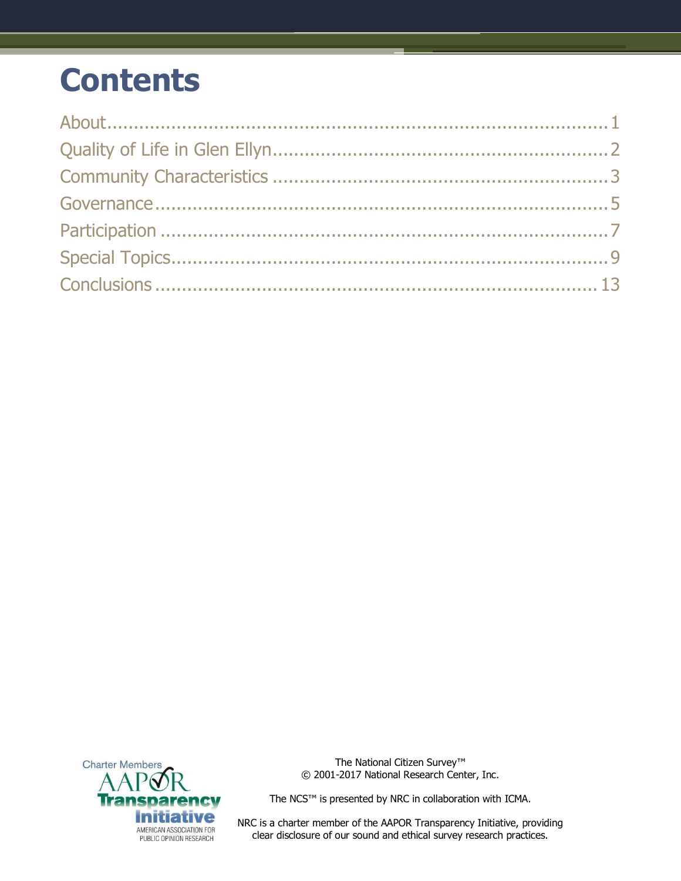## **Contents**



The National Citizen Survey™ © 2001-2017 National Research Center, Inc.

The NCS™ is presented by NRC in collaboration with ICMA.

NRC is a charter member of the AAPOR Transparency Initiative, providing clear disclosure of our sound and ethical survey research practices.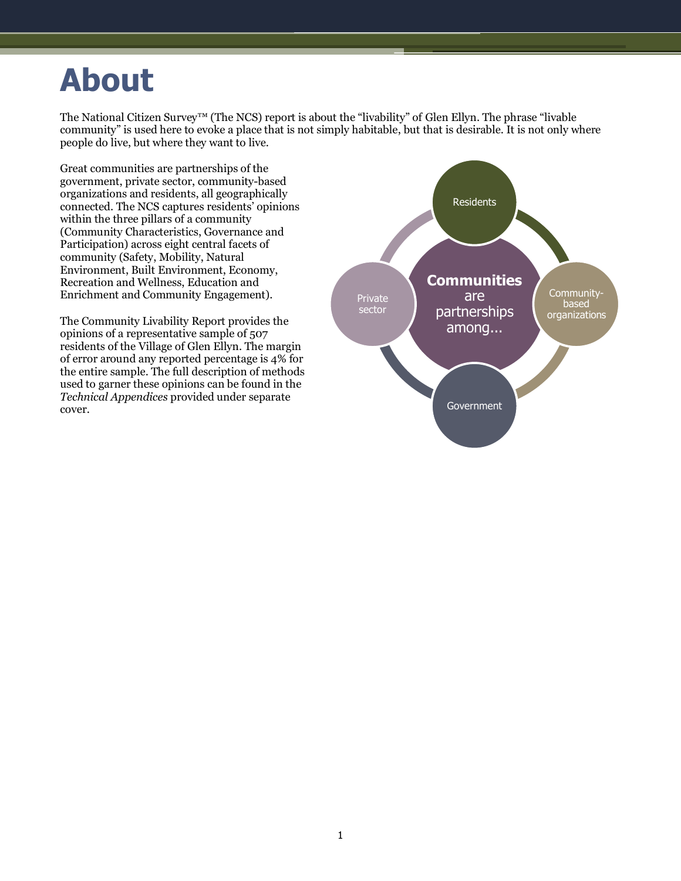## <span id="page-2-0"></span>**About**

The National Citizen Survey™ (The NCS) report is about the "livability" of Glen Ellyn. The phrase "livable community" is used here to evoke a place that is not simply habitable, but that is desirable. It is not only where people do live, but where they want to live.

Great communities are partnerships of the government, private sector, community-based organizations and residents, all geographically connected. The NCS captures residents' opinions within the three pillars of a community (Community Characteristics, Governance and Participation) across eight central facets of community (Safety, Mobility, Natural Environment, Built Environment, Economy, Recreation and Wellness, Education and Enrichment and Community Engagement).

The Community Livability Report provides the opinions of a representative sample of 507 residents of the Village of Glen Ellyn. The margin of error around any reported percentage is 4% for the entire sample. The full description of methods used to garner these opinions can be found in the *Technical Appendices* provided under separate cover.

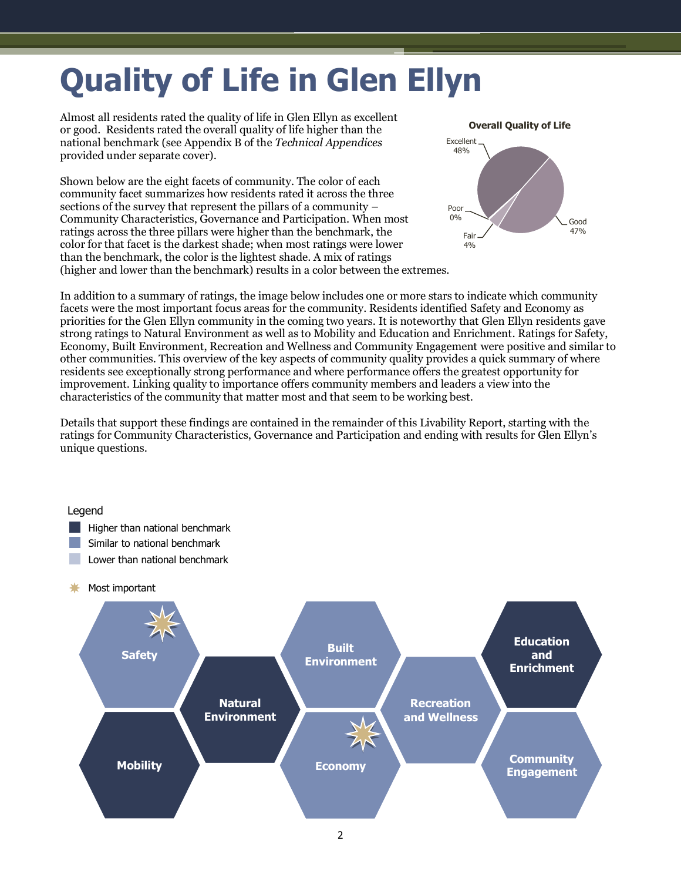# <span id="page-3-0"></span>**Quality of Life in Glen Ellyn**

Almost all residents rated the quality of life in Glen Ellyn as excellent or good. Residents rated the overall quality of life higher than the national benchmark (see Appendix B of the *Technical Appendices* provided under separate cover).

Shown below are the eight facets of community. The color of each community facet summarizes how residents rated it across the three sections of the survey that represent the pillars of a community – Community Characteristics, Governance and Participation. When most ratings across the three pillars were higher than the benchmark, the color for that facet is the darkest shade; when most ratings were lower than the benchmark, the color is the lightest shade. A mix of ratings (higher and lower than the benchmark) results in a color between the extremes.



In addition to a summary of ratings, the image below includes one or more stars to indicate which community facets were the most important focus areas for the community. Residents identified Safety and Economy as priorities for the Glen Ellyn community in the coming two years. It is noteworthy that Glen Ellyn residents gave strong ratings to Natural Environment as well as to Mobility and Education and Enrichment. Ratings for Safety, Economy, Built Environment, Recreation and Wellness and Community Engagement were positive and similar to other communities. This overview of the key aspects of community quality provides a quick summary of where residents see exceptionally strong performance and where performance offers the greatest opportunity for improvement. Linking quality to importance offers community members and leaders a view into the characteristics of the community that matter most and that seem to be working best.

Details that support these findings are contained in the remainder of this Livability Report, starting with the ratings for Community Characteristics, Governance and Participation and ending with results for Glen Ellyn's unique questions.

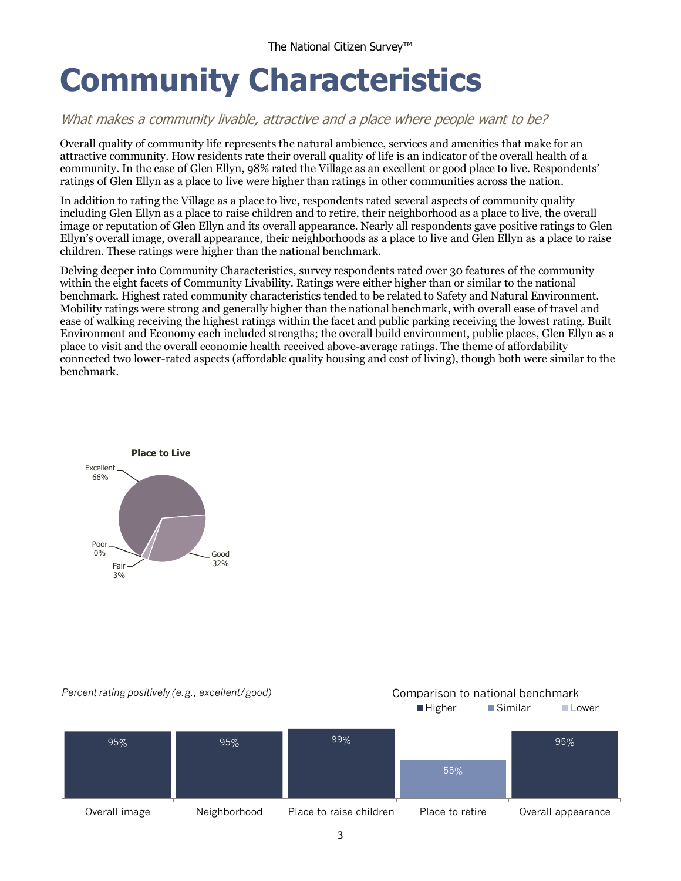## <span id="page-4-0"></span>**Community Characteristics**

### What makes a community livable, attractive and a place where people want to be?

Overall quality of community life represents the natural ambience, services and amenities that make for an attractive community. How residents rate their overall quality of life is an indicator of the overall health of a community. In the case of Glen Ellyn, 98% rated the Village as an excellent or good place to live. Respondents' ratings of Glen Ellyn as a place to live were higher than ratings in other communities across the nation.

In addition to rating the Village as a place to live, respondents rated several aspects of community quality including Glen Ellyn as a place to raise children and to retire, their neighborhood as a place to live, the overall image or reputation of Glen Ellyn and its overall appearance. Nearly all respondents gave positive ratings to Glen Ellyn's overall image, overall appearance, their neighborhoods as a place to live and Glen Ellyn as a place to raise children. These ratings were higher than the national benchmark.

Delving deeper into Community Characteristics, survey respondents rated over 30 features of the community within the eight facets of Community Livability. Ratings were either higher than or similar to the national benchmark. Highest rated community characteristics tended to be related to Safety and Natural Environment. Mobility ratings were strong and generally higher than the national benchmark, with overall ease of travel and ease of walking receiving the highest ratings within the facet and public parking receiving the lowest rating. Built Environment and Economy each included strengths; the overall build environment, public places, Glen Ellyn as a place to visit and the overall economic health received above-average ratings. The theme of affordability connected two lower-rated aspects (affordable quality housing and cost of living), though both were similar to the benchmark.



#### *Percent rating positively (e.g., excellent/good)* Comparison to national benchmark

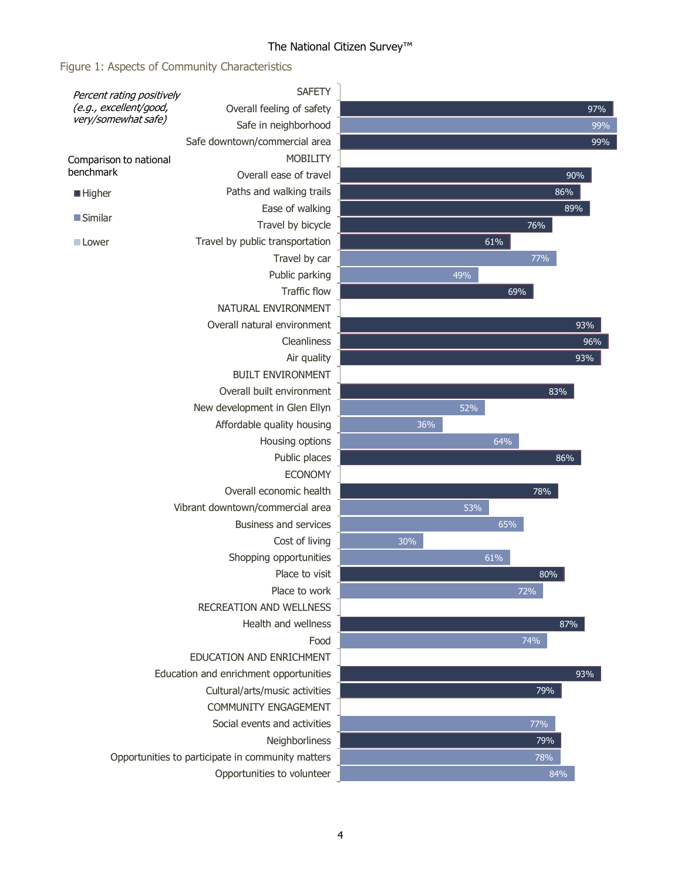### Figure 1: Aspects of Community Characteristics

| Percent rating positively                     | <b>SAFETY</b>                                     |     |     |        |     |
|-----------------------------------------------|---------------------------------------------------|-----|-----|--------|-----|
| (e.g., excellent/good,<br>very/somewhat safe) | Overall feeling of safety                         |     |     |        | 97% |
|                                               | Safe in neighborhood                              |     |     |        | 99% |
|                                               | Safe downtown/commercial area                     |     |     |        | 99% |
| Comparison to national                        | <b>MOBILITY</b>                                   |     |     |        |     |
| benchmark                                     | Overall ease of travel                            |     |     |        | 90% |
| ■ Higher                                      | Paths and walking trails                          |     |     |        | 86% |
|                                               | Ease of walking                                   |     |     |        | 89% |
| ■ Similar                                     | Travel by bicycle                                 |     |     | $76\%$ |     |
| ■ Lower                                       | Travel by public transportation                   |     |     | 61%    |     |
|                                               | Travel by car                                     |     |     | 77%    |     |
|                                               | Public parking                                    |     | 49% |        |     |
|                                               | <b>Traffic flow</b>                               |     |     | 69%    |     |
|                                               | NATURAL ENVIRONMENT                               |     |     |        |     |
|                                               | Overall natural environment                       |     |     |        | 93% |
|                                               | Cleanliness                                       |     |     |        | 96% |
|                                               | Air quality                                       |     |     |        | 93% |
|                                               | <b>BUILT ENVIRONMENT</b>                          |     |     |        |     |
|                                               | Overall built environment                         |     |     |        | 83% |
|                                               | New development in Glen Ellyn                     |     | 52% |        |     |
|                                               | Affordable quality housing                        | 36% |     |        |     |
|                                               | Housing options                                   |     |     | 64%    |     |
|                                               | Public places                                     |     |     |        | 86% |
|                                               | <b>ECONOMY</b>                                    |     |     |        |     |
|                                               | Overall economic health                           |     |     | 78%    |     |
|                                               | Vibrant downtown/commercial area                  |     | 53% |        |     |
|                                               | <b>Business and services</b>                      |     |     | 65%    |     |
|                                               | Cost of living                                    | 30% |     |        |     |
|                                               | Shopping opportunities                            |     |     | 61%    |     |
|                                               | Place to visit                                    |     |     |        | 80% |
|                                               | Place to work                                     |     |     | 72%    |     |
|                                               | <b>RECREATION AND WELLNESS</b>                    |     |     |        |     |
|                                               | Health and wellness                               |     |     |        | 87% |
|                                               | Food                                              |     |     | 74%    |     |
|                                               | EDUCATION AND ENRICHMENT                          |     |     |        |     |
|                                               | Education and enrichment opportunities            |     |     |        | 93% |
|                                               | Cultural/arts/music activities                    |     |     |        | 79% |
|                                               | COMMUNITY ENGAGEMENT                              |     |     |        |     |
|                                               | Social events and activities                      |     |     | 77%    |     |
|                                               | Neighborliness                                    |     |     |        | 79% |
|                                               | Opportunities to participate in community matters |     |     |        | 78% |
|                                               | Opportunities to volunteer                        |     |     |        | 84% |
|                                               |                                                   |     |     |        |     |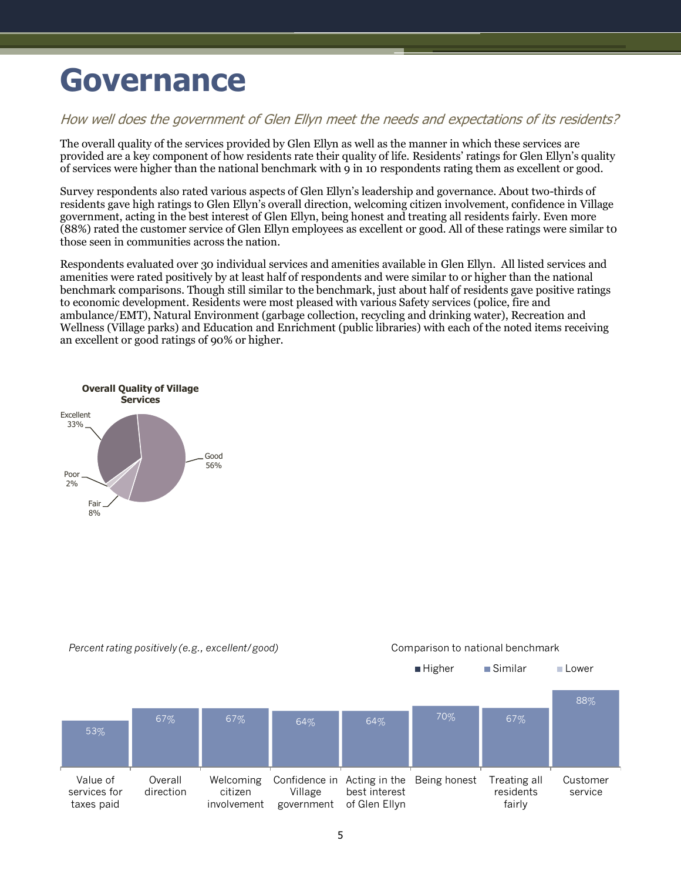## <span id="page-6-0"></span>**Governance**

### How well does the government of Glen Ellyn meet the needs and expectations of its residents?

The overall quality of the services provided by Glen Ellyn as well as the manner in which these services are provided are a key component of how residents rate their quality of life. Residents' ratings for Glen Ellyn's quality of services were higher than the national benchmark with 9 in 10 respondents rating them as excellent or good.

Survey respondents also rated various aspects of Glen Ellyn's leadership and governance. About two-thirds of residents gave high ratings to Glen Ellyn's overall direction, welcoming citizen involvement, confidence in Village government, acting in the best interest of Glen Ellyn, being honest and treating all residents fairly. Even more (88%) rated the customer service of Glen Ellyn employees as excellent or good. All of these ratings were similar t0 those seen in communities across the nation.

Respondents evaluated over 30 individual services and amenities available in Glen Ellyn. All listed services and amenities were rated positively by at least half of respondents and were similar to or higher than the national benchmark comparisons. Though still similar to the benchmark, just about half of residents gave positive ratings to economic development. Residents were most pleased with various Safety services (police, fire and ambulance/EMT), Natural Environment (garbage collection, recycling and drinking water), Recreation and Wellness (Village parks) and Education and Enrichment (public libraries) with each of the noted items receiving an excellent or good ratings of 90% or higher.





5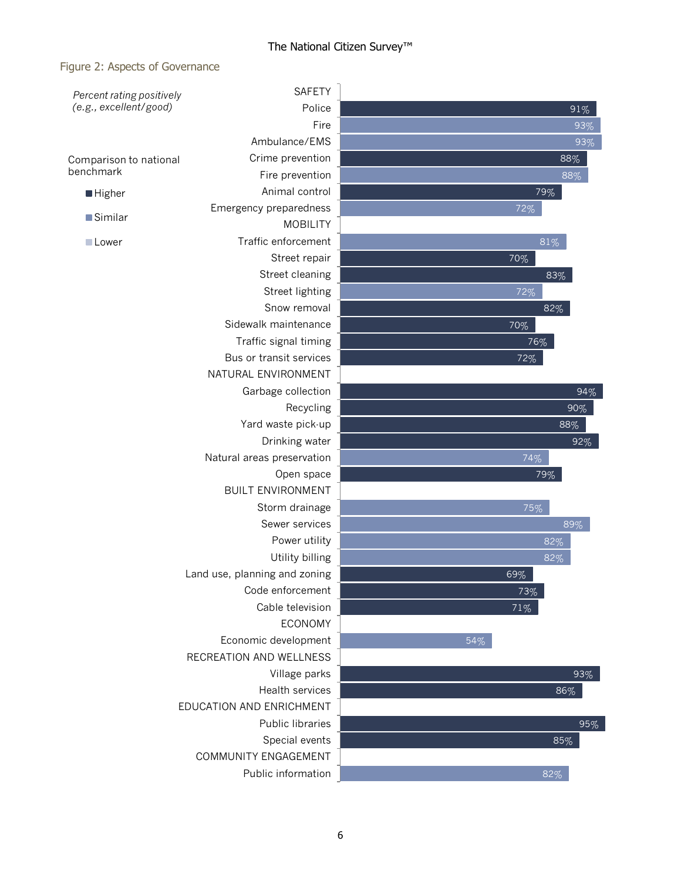#### Figure 2: Aspects of Governance

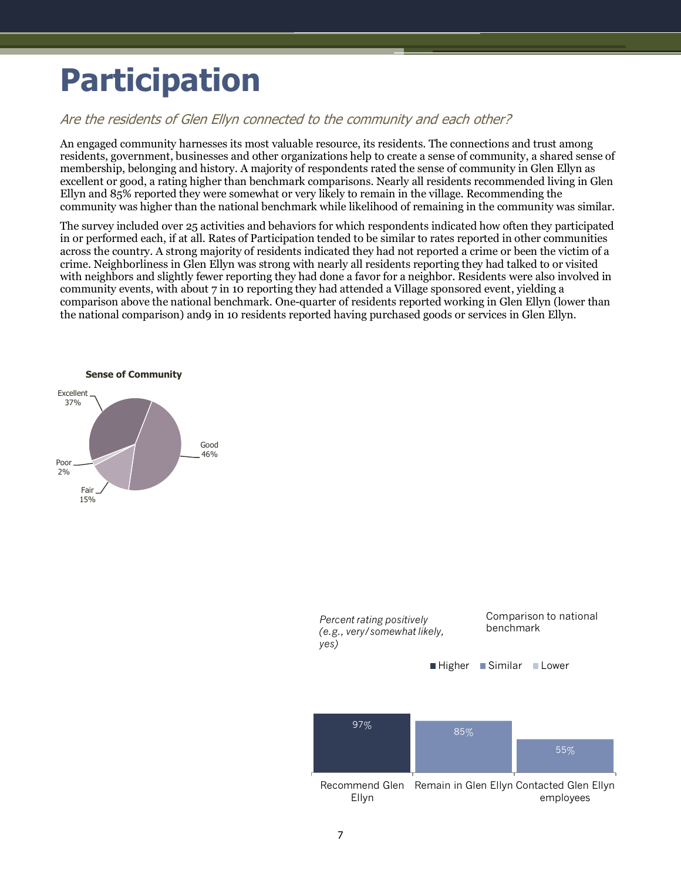## <span id="page-8-0"></span>**Participation**

### Are the residents of Glen Ellyn connected to the community and each other?

An engaged community harnesses its most valuable resource, its residents. The connections and trust among residents, government, businesses and other organizations help to create a sense of community, a shared sense of membership, belonging and history. A majority of respondents rated the sense of community in Glen Ellyn as excellent or good, a rating higher than benchmark comparisons. Nearly all residents recommended living in Glen Ellyn and 85% reported they were somewhat or very likely to remain in the village. Recommending the community was higher than the national benchmark while likelihood of remaining in the community was similar.

The survey included over 25 activities and behaviors for which respondents indicated how often they participated in or performed each, if at all. Rates of Participation tended to be similar to rates reported in other communities across the country. A strong majority of residents indicated they had not reported a crime or been the victim of a crime. Neighborliness in Glen Ellyn was strong with nearly all residents reporting they had talked to or visited with neighbors and slightly fewer reporting they had done a favor for a neighbor. Residents were also involved in community events, with about 7 in 10 reporting they had attended a Village sponsored event, yielding a comparison above the national benchmark. One-quarter of residents reported working in Glen Ellyn (lower than the national comparison) and9 in 10 residents reported having purchased goods or services in Glen Ellyn.



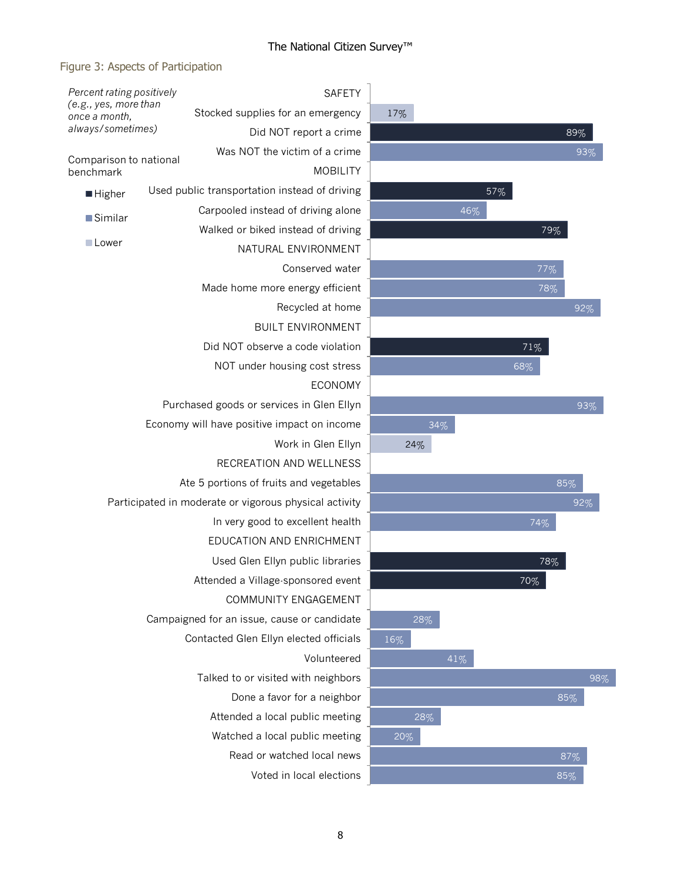### Figure 3: Aspects of Participation

| Percent rating positively              |                                                        | <b>SAFETY</b>                 |     |     |        |     |     |
|----------------------------------------|--------------------------------------------------------|-------------------------------|-----|-----|--------|-----|-----|
| (e.g., yes, more than<br>once a month, | Stocked supplies for an emergency                      |                               | 17% |     |        |     |     |
| always/sometimes)                      |                                                        | Did NOT report a crime        |     |     |        | 89% |     |
| Comparison to national                 |                                                        | Was NOT the victim of a crime |     |     |        | 93% |     |
| benchmark                              |                                                        | <b>MOBILITY</b>               |     |     |        |     |     |
| ■ Higher                               | Used public transportation instead of driving          |                               |     |     | 57%    |     |     |
| ■Similar                               | Carpooled instead of driving alone                     |                               |     | 46% |        |     |     |
|                                        | Walked or biked instead of driving                     |                               |     |     | 79%    |     |     |
| Lower                                  |                                                        | NATURAL ENVIRONMENT           |     |     |        |     |     |
|                                        |                                                        | Conserved water               |     |     | 77%    |     |     |
|                                        | Made home more energy efficient                        |                               |     |     | 78%    |     |     |
|                                        |                                                        | Recycled at home              |     |     |        | 92% |     |
|                                        |                                                        | <b>BUILT ENVIRONMENT</b>      |     |     |        |     |     |
|                                        | Did NOT observe a code violation                       |                               |     |     | 71%    |     |     |
|                                        | NOT under housing cost stress                          |                               |     |     | 68%    |     |     |
|                                        |                                                        | <b>ECONOMY</b>                |     |     |        |     |     |
|                                        | Purchased goods or services in Glen Ellyn              |                               |     |     |        | 93% |     |
|                                        | Economy will have positive impact on income            |                               |     | 34% |        |     |     |
|                                        |                                                        | Work in Glen Ellyn            | 24% |     |        |     |     |
|                                        |                                                        | RECREATION AND WELLNESS       |     |     |        |     |     |
|                                        | Ate 5 portions of fruits and vegetables                |                               |     |     |        | 85% |     |
|                                        | Participated in moderate or vigorous physical activity |                               |     |     |        | 92% |     |
|                                        | In very good to excellent health                       |                               |     |     | 74%    |     |     |
|                                        | EDUCATION AND ENRICHMENT                               |                               |     |     |        |     |     |
|                                        | Used Glen Ellyn public libraries                       |                               |     |     | 78%    |     |     |
|                                        | Attended a Village-sponsored event                     |                               |     |     | $70\%$ |     |     |
|                                        |                                                        | COMMUNITY ENGAGEMENT          |     |     |        |     |     |
|                                        | Campaigned for an issue, cause or candidate            |                               | 28% |     |        |     |     |
|                                        | Contacted Glen Ellyn elected officials                 |                               | 16% |     |        |     |     |
|                                        |                                                        | Volunteered                   |     | 41% |        |     |     |
|                                        | Talked to or visited with neighbors                    |                               |     |     |        |     | 98% |
|                                        |                                                        | Done a favor for a neighbor   |     |     |        | 85% |     |
|                                        | Attended a local public meeting                        |                               | 28% |     |        |     |     |
|                                        | Watched a local public meeting                         |                               | 20% |     |        |     |     |
|                                        |                                                        | Read or watched local news    |     |     |        | 87% |     |
|                                        |                                                        | Voted in local elections      |     |     |        | 85% |     |
|                                        |                                                        |                               |     |     |        |     |     |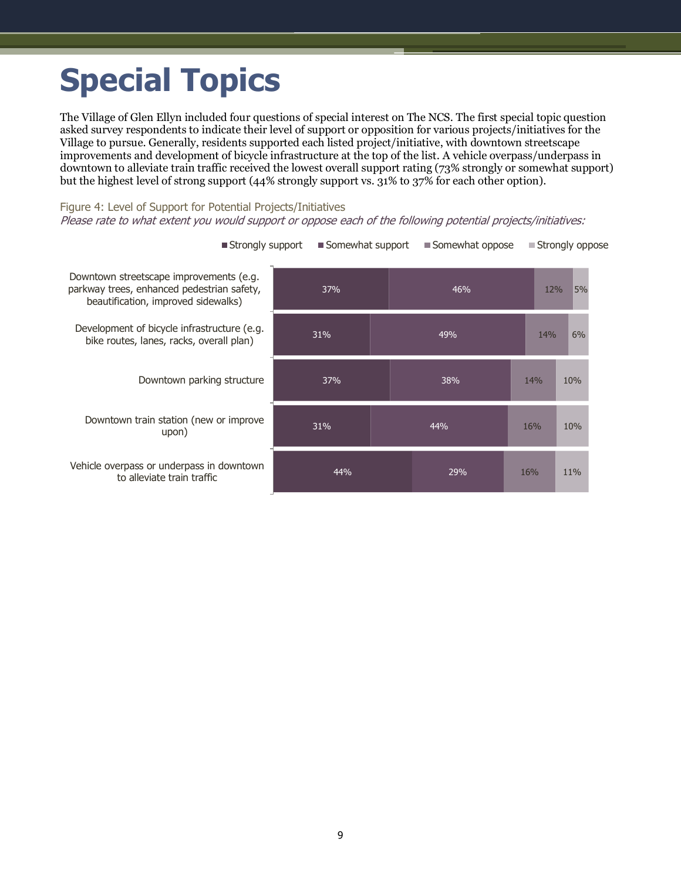## <span id="page-10-0"></span>**Special Topics**

The Village of Glen Ellyn included four questions of special interest on The NCS. The first special topic question asked survey respondents to indicate their level of support or opposition for various projects/initiatives for the Village to pursue. Generally, residents supported each listed project/initiative, with downtown streetscape improvements and development of bicycle infrastructure at the top of the list. A vehicle overpass/underpass in downtown to alleviate train traffic received the lowest overall support rating (73% strongly or somewhat support) but the highest level of strong support (44% strongly support vs. 31% to 37% for each other option).

#### Figure 4: Level of Support for Potential Projects/Initiatives Please rate to what extent you would support or oppose each of the following potential projects/initiatives:

| Downtown streetscape improvements (e.g.<br>parkway trees, enhanced pedestrian safety,<br>beautification, improved sidewalks) | 37%<br>46% |     | 12% | 5%        |
|------------------------------------------------------------------------------------------------------------------------------|------------|-----|-----|-----------|
| Development of bicycle infrastructure (e.g.<br>bike routes, lanes, racks, overall plan)                                      | 31%        | 49% |     | 6%<br>14% |
| Downtown parking structure                                                                                                   | 37%        | 38% | 14% | 10%       |
| Downtown train station (new or improve<br>upon)                                                                              | 31%        | 44% | 16% | 10%       |
| Vehicle overpass or underpass in downtown<br>to alleviate train traffic                                                      | 44%        | 29% | 16% | 11%       |

 $\Box$  Strongly support  $\Box$  Somewhat support  $\Box$  Somewhat oppose  $\Box$  Strongly oppose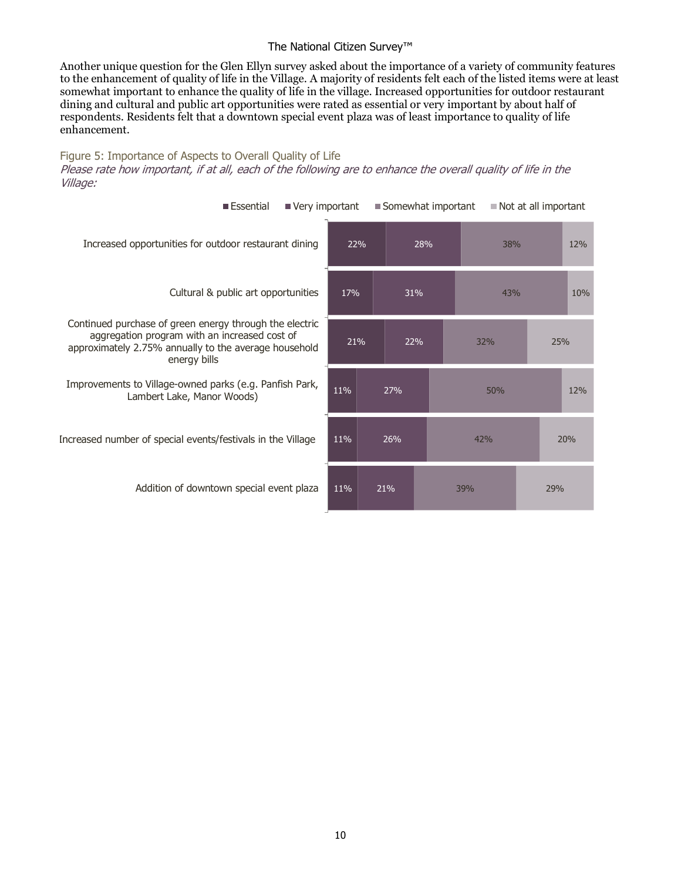Another unique question for the Glen Ellyn survey asked about the importance of a variety of community features to the enhancement of quality of life in the Village. A majority of residents felt each of the listed items were at least somewhat important to enhance the quality of life in the village. Increased opportunities for outdoor restaurant dining and cultural and public art opportunities were rated as essential or very important by about half of respondents. Residents felt that a downtown special event plaza was of least importance to quality of life enhancement.

Figure 5: Importance of Aspects to Overall Quality of Life Please rate how important, if at all, each of the following are to enhance the overall quality of life in the Village:

| Essential<br>Very important                                                                                                                                                       |            |     |     | Somewhat important | Not at all important |     |     |  |     |  |
|-----------------------------------------------------------------------------------------------------------------------------------------------------------------------------------|------------|-----|-----|--------------------|----------------------|-----|-----|--|-----|--|
| Increased opportunities for outdoor restaurant dining                                                                                                                             | 22%        |     | 28% |                    | 38%                  |     | 12% |  |     |  |
| Cultural & public art opportunities                                                                                                                                               | 17%<br>31% |     |     |                    |                      | 43% |     |  |     |  |
| Continued purchase of green energy through the electric<br>aggregation program with an increased cost of<br>approximately 2.75% annually to the average household<br>energy bills | 21%        | 22% |     |                    | 32%                  |     | 25% |  |     |  |
| Improvements to Village-owned parks (e.g. Panfish Park,<br>Lambert Lake, Manor Woods)                                                                                             | 11%        | 27% |     |                    | 50%                  |     |     |  |     |  |
| Increased number of special events/festivals in the Village                                                                                                                       | 11%        | 26% |     |                    | 42%                  |     | 20% |  |     |  |
| Addition of downtown special event plaza                                                                                                                                          | 11%        |     | 21% |                    |                      |     | 39% |  | 29% |  |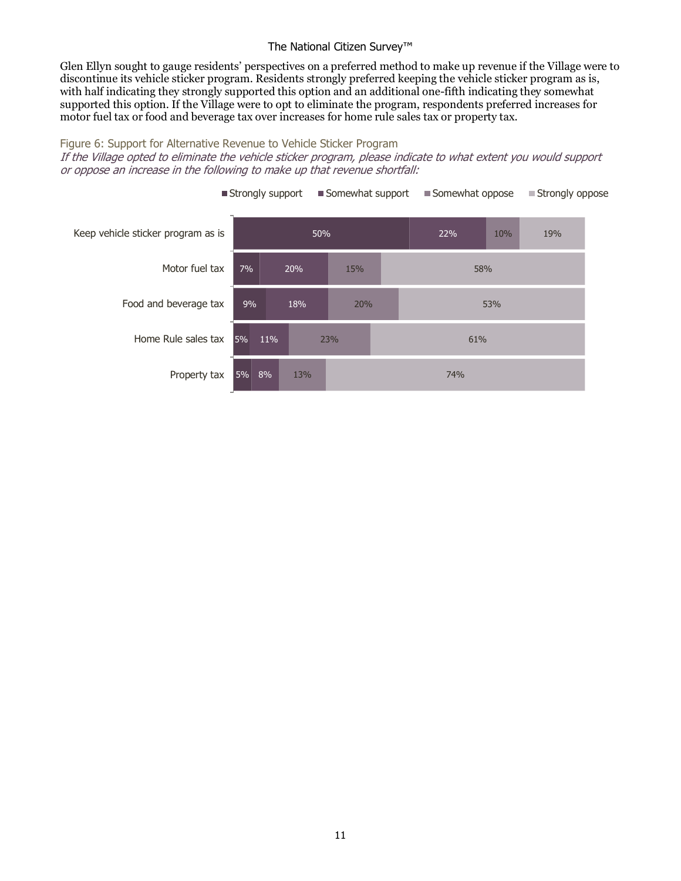Glen Ellyn sought to gauge residents' perspectives on a preferred method to make up revenue if the Village were to discontinue its vehicle sticker program. Residents strongly preferred keeping the vehicle sticker program as is, with half indicating they strongly supported this option and an additional one-fifth indicating they somewhat supported this option. If the Village were to opt to eliminate the program, respondents preferred increases for motor fuel tax or food and beverage tax over increases for home rule sales tax or property tax.

#### Figure 6: Support for Alternative Revenue to Vehicle Sticker Program

If the Village opted to eliminate the vehicle sticker program, please indicate to what extent you would support or oppose an increase in the following to make up that revenue shortfall:



Strongly support Somewhat support Somewhat oppose Strongly oppose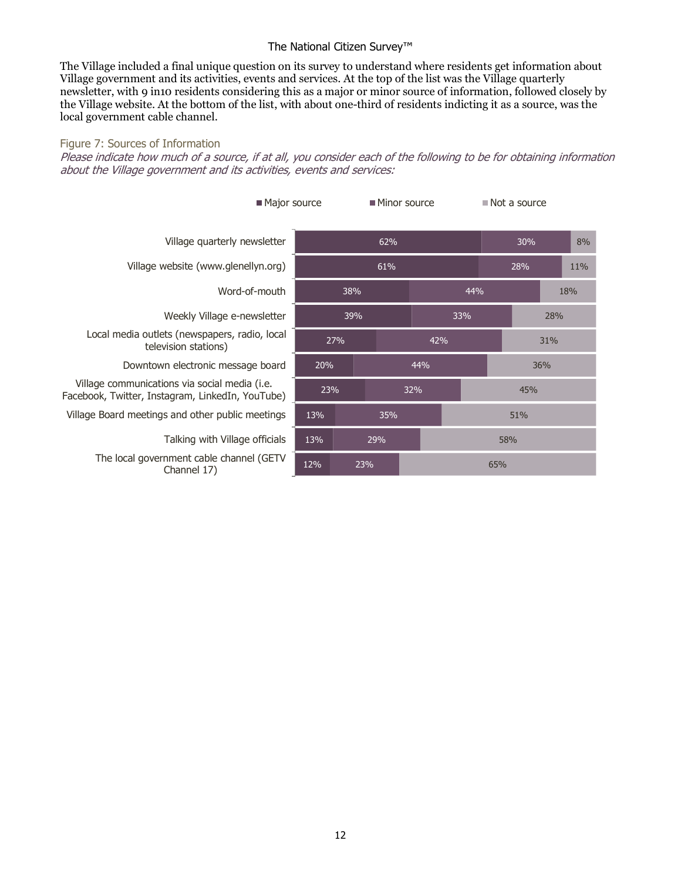The Village included a final unique question on its survey to understand where residents get information about Village government and its activities, events and services. At the top of the list was the Village quarterly newsletter, with 9 in10 residents considering this as a major or minor source of information, followed closely by the Village website. At the bottom of the list, with about one-third of residents indicting it as a source, was the local government cable channel.

#### Figure 7: Sources of Information

Please indicate how much of a source, if at all, you consider each of the following to be for obtaining information about the Village government and its activities, events and services:

| Major source                                                                                      | ■ Minor source |     |     | $\blacksquare$ Not a source |     |     |     |     |     |    |
|---------------------------------------------------------------------------------------------------|----------------|-----|-----|-----------------------------|-----|-----|-----|-----|-----|----|
| Village quarterly newsletter                                                                      | 62%            |     |     |                             | 30% |     |     |     |     | 8% |
| Village website (www.glenellyn.org)                                                               | 61%            |     |     |                             |     |     | 28% |     | 11% |    |
| Word-of-mouth                                                                                     | 38%            |     |     |                             | 44% |     |     | 18% |     |    |
| Weekly Village e-newsletter                                                                       | 39%            |     |     | 33%                         |     | 28% |     |     |     |    |
| Local media outlets (newspapers, radio, local<br>television stations)                             | 27%            |     | 42% |                             | 31% |     |     |     |     |    |
| Downtown electronic message board                                                                 |                | 20% |     | 44%                         |     | 36% |     |     |     |    |
| Village communications via social media (i.e.<br>Facebook, Twitter, Instagram, LinkedIn, YouTube) | 23%            |     | 32% |                             | 45% |     |     |     |     |    |
| Village Board meetings and other public meetings                                                  | 13%            | 35% |     |                             |     | 51% |     |     |     |    |
| Talking with Village officials                                                                    | 13%<br>29%     |     |     |                             | 58% |     |     |     |     |    |
| The local government cable channel (GETV<br>Channel 17)                                           | 12%<br>23%     |     |     |                             | 65% |     |     |     |     |    |